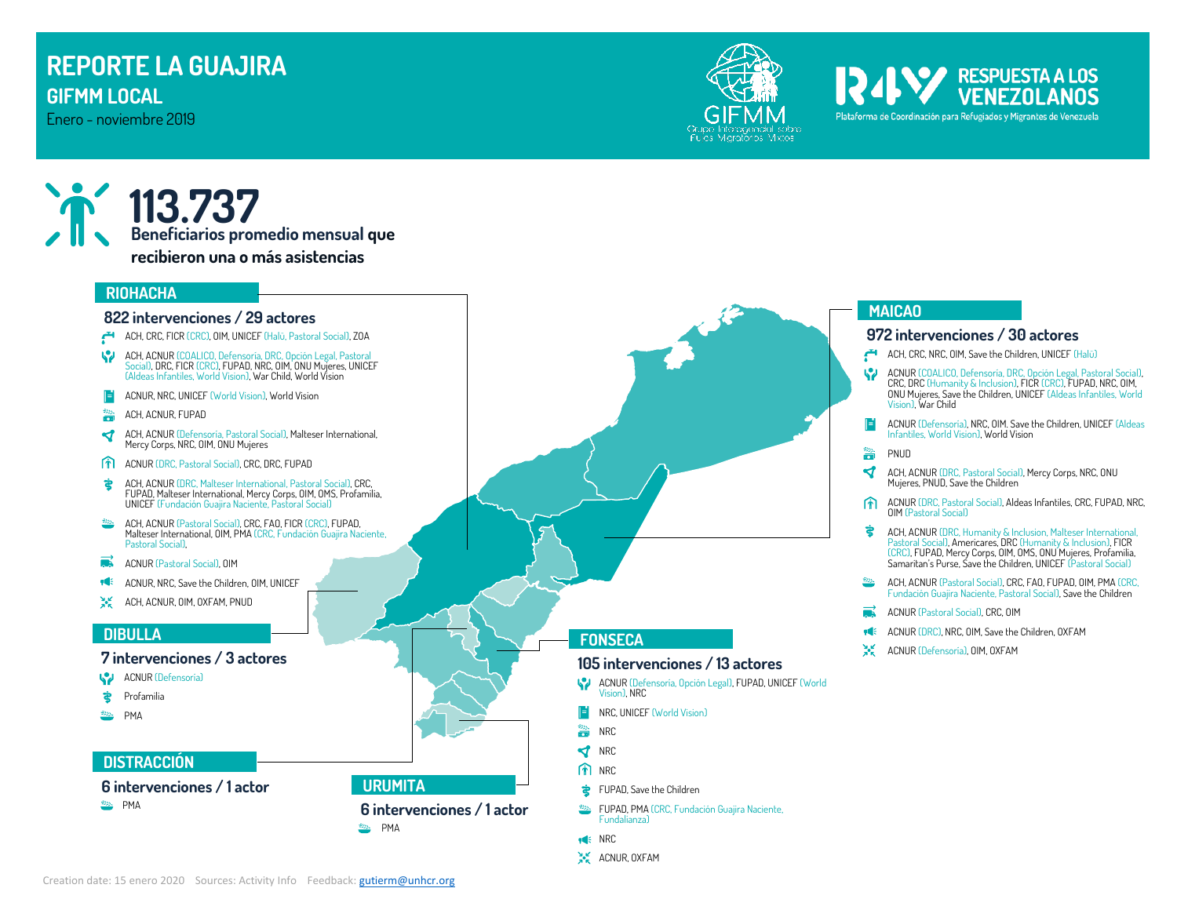# **REPORTE LA GUAJIRA GIFMM LOCAL**

Enero - noviembre 2019



Plataforma de Coordinación para Refugiados y Migrantes de Venezuela

RESPUESTA A LOS

# **113.737 Beneficiarios promedio mensual que recibieron una o más asistencias**

#### **RIOHACHA**

#### **822 intervenciones / 29 actores**

- ACH, CRC, FICR (CRC), OIM, UNICEF (Halü, Pastoral Social), ZOA
- $\blacklozenge$ ACH, ACNUR (COALICO, Defensoría, DRC, Opción Legal, Pastoral Social), DRC, FICR (CRC), FUPAD, NRC, OIM, ONU Mujeres, UNICEF (Aldeas Infantiles, World Vision), War Child, World Vision
- ACNUR, NRC, UNICEF (World Vision), World Vision F
- 濇 ACH, ACNUR, FUPAD
- ∢ ACH, ACNUR (Defensoría, Pastoral Social), Malteser International, Mercy Corps, NRC, OIM, ONU Mujeres
- m ACNUR (DRC, Pastoral Social), CRC, DRC, FUPAD
- さ ACH, ACNUR (DRC, Malteser International, Pastoral Social), CRC, FUPAD, Malteser International, Mercy Corps, OIM, OMS, Profamilia, UNICEF (Fundación Guajira Naciente, Pastoral Social)
- ACH, ACNUR (Pastoral Social), CRC, FAO, FICR (CRC), FUPAD, Malteser International, OIM, PMA (CRC, Fundación Guajira Naciente, Pastoral Social),
- ACNUR (Pastoral Social), OIM
- œ ACNUR, NRC, Save the Children, OIM, UNICEF
- 紧 ACH, ACNUR, OIM, OXFAM, PNUD

### **DIBULLA**

### **7 intervenciones / 3 actores**

- **ACNUR (Defensoría)**
- ਵੇ Profamilia
- S22. PMA

## **DISTRACCIÓN**

**6 intervenciones / 1 actor**

**BALL** PMA

**FONSECA**

## **105 intervenciones / 13 actores**

- ACNUR (Defensoría, Opción Legal), FUPAD, UNICEF (World Vision), NRC
	- NRC, UNICEF (World Vision)
- 譜 NRC

Ħ

- **V** NRC
- **n** NRC
- FUPAD, Save the Children
- FUPAD, PMA (CRC, Fundación Guajira Naciente, Fundalianza)
- $H \in NRC$
- $A_{R}^{\vee}$  ACNUR, OXFAM

# **MAICAO**

### **972 intervenciones / 30 actores**

- ACH, CRC, NRC, OIM, Save the Children, UNICEF (Halü)
- W ACNUR (COALICO, Defensoría, DRC, Opción Legal, Pastoral Social), CRC, DRC (Humanity & Inclusion), FICR (CRC), FUPAD, NRC, OIM, ONU Mujeres, Save the Children, UNICEF (Aldeas Infantiles, World Vision), War Child
- ACNUR (Defensoría), NRC, OIM. Save the Children, UNICEF (Aldeas Infantiles, World Vision), World Vision
- 譜 PNUD
- ∢ ACH, ACNUR (DRC, Pastoral Social), Mercy Corps, NRC, ONU Mujeres, PNUD, Save the Children
- ACNUR (DRC, Pastoral Social), Aldeas Infantiles, CRC, FUPAD, NRC, 俞 OIM (Pastoral Social)
- Ż ACH, ACNUR (DRC, Humanity & Inclusion, Malteser International, Pastoral Social), Americares, DRC (Humanity & Inclusion), FICR (CRC), FUPAD, Mercy Corps, OIM, OMS, ONU Mujeres, Profamilia, Samaritan's Purse, Save the Children, UNICEF (Pastoral Social)
- ACH, ACNUR (Pastoral Social), CRC, FAO, FUPAD, OIM, PMA (CRC, Fundación Guajira Naciente, Pastoral Social), Save the Children
- ACNUR (Pastoral Social), CRC, OIM
- ACNUR (DRC), NRC, OIM, Save the Children, OXFAM
- Ж. ACNUR (Defensoría), OIM, OXFAM

**URUMITA**

**BEL** PMA

**6 intervenciones / 1 actor**